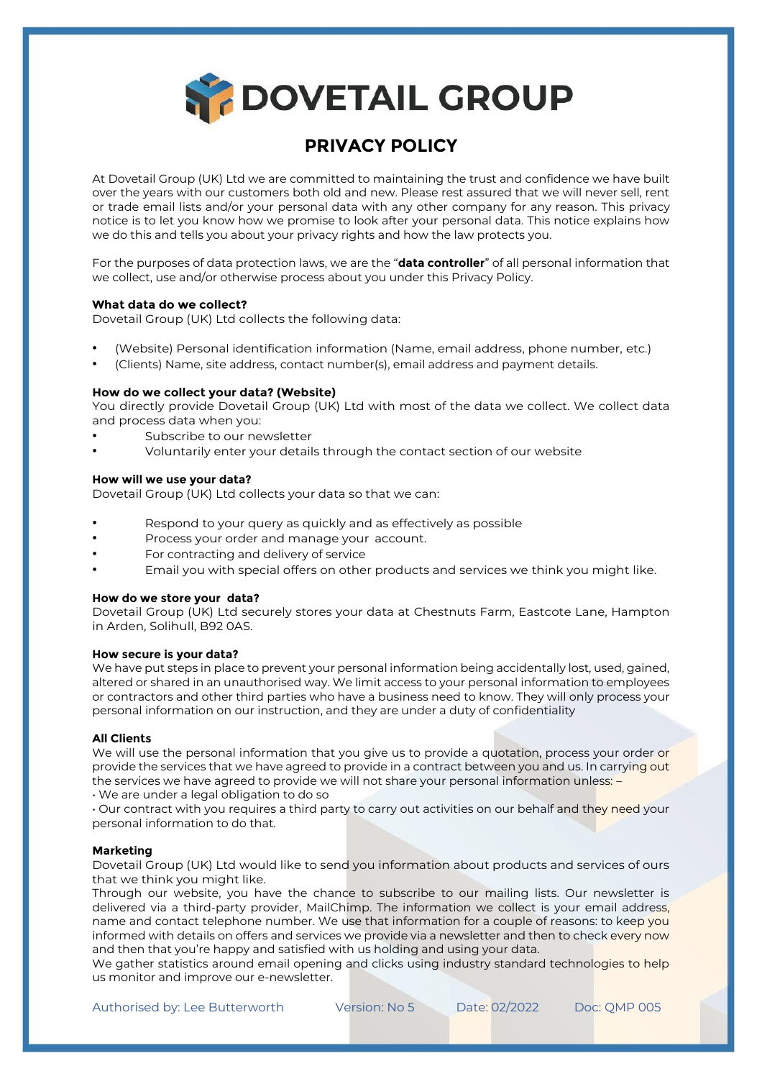**SPOOVETAIL GROUP** 

# **PRIVACY POLICY**

At Dovetail Group (UK) Ltd we are committed to maintaining the trust and confidence we have built over the years with our customers both old and new. Please rest assured that we will never sell, rent or trade email lists and/or your personal data with any other company for any reason. This privacy notice is to let you know how we promise to look after your personal data. This notice explains how we do this and tells you about your privacy rights and how the law protects you.

For the purposes of data protection laws, we are the "**data controller**" of all personal information that we collect, use and/or otherwise process about you under this Privacy Policy.

# **What data do we collect?**

Dovetail Group (UK) Ltd collects the following data:

- (Website) Personal identification information (Name, email address, phone number, etc.)
- (Clients) Name, site address, contact number(s), email address and payment details.

# **How do we collect your data? (Website)**

You directly provide Dovetail Group (UK) Ltd with most of the data we collect. We collect data and process data when you:

- Subscribe to our newsletter
- Voluntarily enter your details through the contact section of our website

# **How will we use your data?**

Dovetail Group (UK) Ltd collects your data so that we can:

- Respond to your query as quickly and as effectively as possible
- Process your order and manage your account.
- For contracting and delivery of service
- Email you with special offers on other products and services we think you might like.

## **How do we store your data?**

Dovetail Group (UK) Ltd securely stores your data at Chestnuts Farm, Eastcote Lane, Hampton in Arden, Solihull, B92 0AS.

## **How secure is your data?**

We have put steps in place to prevent your personal information being accidentally lost, used, gained, altered or shared in an unauthorised way. We limit access to your personal information to employees or contractors and other third parties who have a business need to know. They will only process your personal information on our instruction, and they are under a duty of confidentiality

# **All Clients**

We will use the personal information that you give us to provide a quotation, process your order or provide the services that we have agreed to provide in a contract between you and us. In carrying out the services we have agreed to provide we will not share your personal information unless: -

• We are under a legal obligation to do so

• Our contract with you requires a third party to carry out activities on our behalf and they need your personal information to do that.

## **Marketing**

Dovetail Group (UK) Ltd would like to send you information about products and services of ours that we think you might like.

Through our website, you have the chance to subscribe to our mailing lists. Our newsletter is delivered via a third-party provider, MailChimp. The information we collect is your email address, name and contact telephone number. We use that information for a couple of reasons: to keep you informed with details on offers and services we provide via a newsletter and then to check every now and then that you're happy and satisfied with us holding and using your data.

We gather statistics around email opening and clicks using industry standard technologies to help us monitor and improve our e-newsletter.

Authorised by: Lee Butterworth Version: No 5 Date: 02/2022 Doc: OMP 005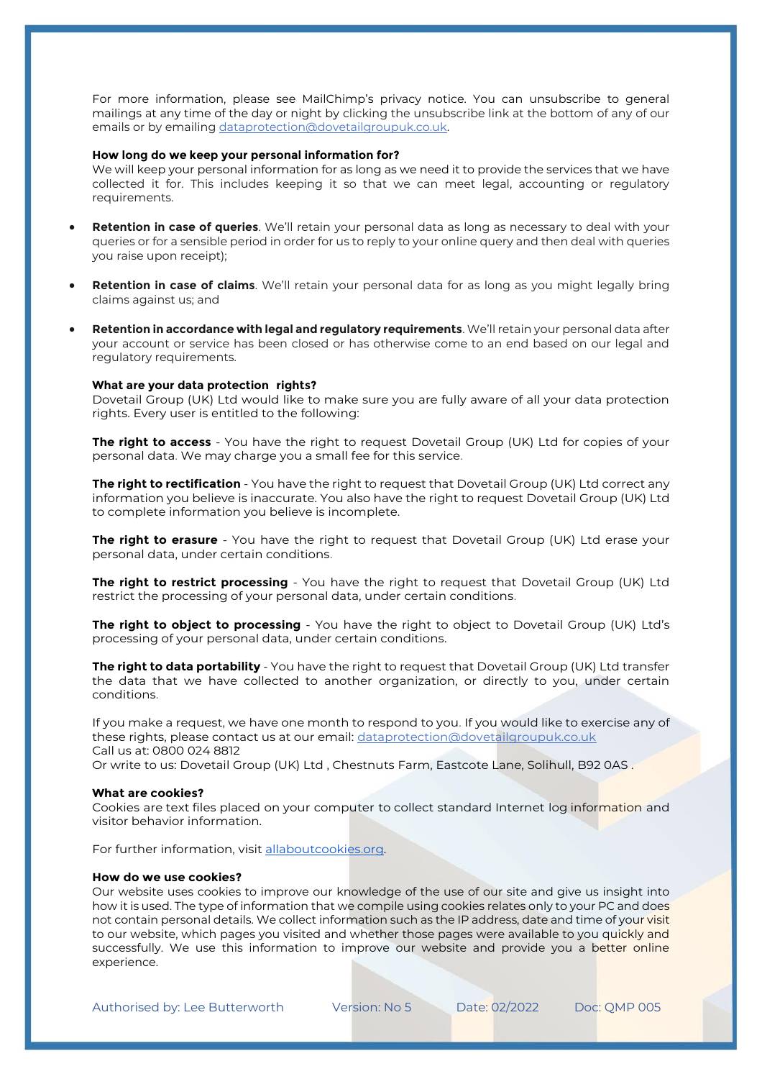For more information, please see MailChimp's privacy notice. You can unsubscribe to general mailings at any time of the day or night by clicking the unsubscribe link at the bottom of any of our emails or by emailing dataprotection@dovetailgroupuk.co.uk.

## **How long do we keep your personal information for?**

We will keep your personal information for as long as we need it to provide the services that we have collected it for. This includes keeping it so that we can meet legal, accounting or regulatory requirements.

- **Retention in case of queries**. We'll retain your personal data as long as necessary to deal with your queries or for a sensible period in order for us to reply to your online query and then deal with queries you raise upon receipt);
- **Retention in case of claims**. We'll retain your personal data for as long as you might legally bring claims against us; and
- **Retention in accordance with legal and regulatory requirements**. We'll retain your personal data after your account or service has been closed or has otherwise come to an end based on our legal and regulatory requirements.

## **What are your data protection rights?**

Dovetail Group (UK) Ltd would like to make sure you are fully aware of all your data protection rights. Every user is entitled to the following:

**The right to access** - You have the right to request Dovetail Group (UK) Ltd for copies of your personal data. We may charge you a small fee for this service.

**The right to rectification** - You have the right to request that Dovetail Group (UK) Ltd correct any information you believe is inaccurate. You also have the right to request Dovetail Group (UK) Ltd to complete information you believe is incomplete.

**The right to erasure** - You have the right to request that Dovetail Group (UK) Ltd erase your personal data, under certain conditions.

**The right to restrict processing** - You have the right to request that Dovetail Group (UK) Ltd restrict the processing of your personal data, under certain conditions.

**The right to object to processing** - You have the right to object to Dovetail Group (UK) Ltd's processing of your personal data, under certain conditions.

**The right to data portability** - You have the right to request that Dovetail Group (UK) Ltd transfer the data that we have collected to another organization, or directly to you, under certain conditions.

If you make a request, we have one month to respond to you. If you would like to exercise any of these rights, please contact us at our email: dataprotection@dovetailgroupuk.co.uk Call us at: 0800 024 8812

Or write to us: Dovetail Group (UK) Ltd , Chestnuts Farm, Eastcote Lane, Solihull, B92 0AS .

#### **What are cookies?**

Cookies are text files placed on your computer to collect standard Internet log information and visitor behavior information.

For further information, visit allaboutcookies.org.

# **How do we use cookies?**

Our website uses cookies to improve our knowledge of the use of our site and give us insight into how it is used. The type of information that we compile using cookies relates only to your PC and does not contain personal details. We collect information such as the IP address, date and time of your visit to our website, which pages you visited and whether those pages were available to you quickly and successfully. We use this information to improve our website and provide you a better online experience.

Authorised by: Lee Butterworth Version: No 5 Date: 02/2022 Doc: QMP 005